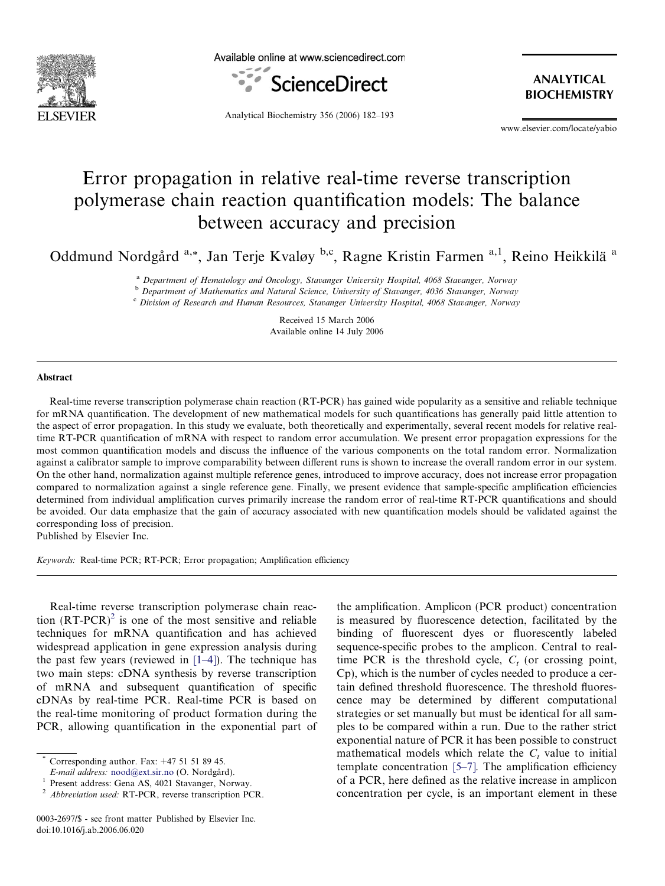

Available online at www.sciencedirect.com



ANALYTICAL **BIOCHEMISTRY** 

Analytical Biochemistry 356 (2006) 182–193

www.elsevier.com/locate/yabio

# Error propagation in relative real-time reverse transcription polymerase chain reaction quantification models: The balance between accuracy and precision

Oddmund Nordgård <sup>a,\*</sup>, Jan Terje Kvaløy <sup>b,c</sup>, Ragne Kristin Farmen <sup>a,1</sup>, Reino Heikkilä<sup>a</sup>

<sup>a</sup> Department of Hematology and Oncology, Stavanger University Hospital, 4068 Stavanger, Norway

b Department of Mathematics and Natural Science, University of Stavanger, 4036 Stavanger, Norway

<sup>c</sup> Division of Research and Human Resources, Stavanger University Hospital, 4068 Stavanger, Norway

Received 15 March 2006 Available online 14 July 2006

#### Abstract

Real-time reverse transcription polymerase chain reaction (RT-PCR) has gained wide popularity as a sensitive and reliable technique for mRNA quantification. The development of new mathematical models for such quantifications has generally paid little attention to the aspect of error propagation. In this study we evaluate, both theoretically and experimentally, several recent models for relative realtime RT-PCR quantification of mRNA with respect to random error accumulation. We present error propagation expressions for the most common quantification models and discuss the influence of the various components on the total random error. Normalization against a calibrator sample to improve comparability between different runs is shown to increase the overall random error in our system. On the other hand, normalization against multiple reference genes, introduced to improve accuracy, does not increase error propagation compared to normalization against a single reference gene. Finally, we present evidence that sample-specific amplification efficiencies determined from individual amplification curves primarily increase the random error of real-time RT-PCR quantifications and should be avoided. Our data emphasize that the gain of accuracy associated with new quantification models should be validated against the corresponding loss of precision.

Published by Elsevier Inc.

Keywords: Real-time PCR; RT-PCR; Error propagation; Amplification efficiency

Real-time reverse transcription polymerase chain reaction  $(RT-PCR)^2$  is one of the most sensitive and reliable techniques for mRNA quantification and has achieved widespread application in gene expression analysis during the past few years (reviewed in  $[1-4]$ ). The technique has two main steps: cDNA synthesis by reverse transcription of mRNA and subsequent quantification of specific cDNAs by real-time PCR. Real-time PCR is based on the real-time monitoring of product formation during the PCR, allowing quantification in the exponential part of the amplification. Amplicon (PCR product) concentration is measured by fluorescence detection, facilitated by the binding of fluorescent dyes or fluorescently labeled sequence-specific probes to the amplicon. Central to realtime PCR is the threshold cycle,  $C_t$  (or crossing point, Cp), which is the number of cycles needed to produce a certain defined threshold fluorescence. The threshold fluorescence may be determined by different computational strategies or set manually but must be identical for all samples to be compared within a run. Due to the rather strict exponential nature of PCR it has been possible to construct mathematical models which relate the  $C_t$  value to initial template concentration [\[5–7\]](#page-10-0). The amplification efficiency of a PCR, here defined as the relative increase in amplicon concentration per cycle, is an important element in these

Corresponding author. Fax:  $+47$  51 51 89 45.

E-mail address: [nood@ext.sir.no](mailto:nood@ext.sir.no) (O. Nordgård).<br><sup>1</sup> Present address: Gena AS, 4021 Stavanger, Norway.<br><sup>2</sup> Abbreviation used: RT-PCR, reverse transcription PCR.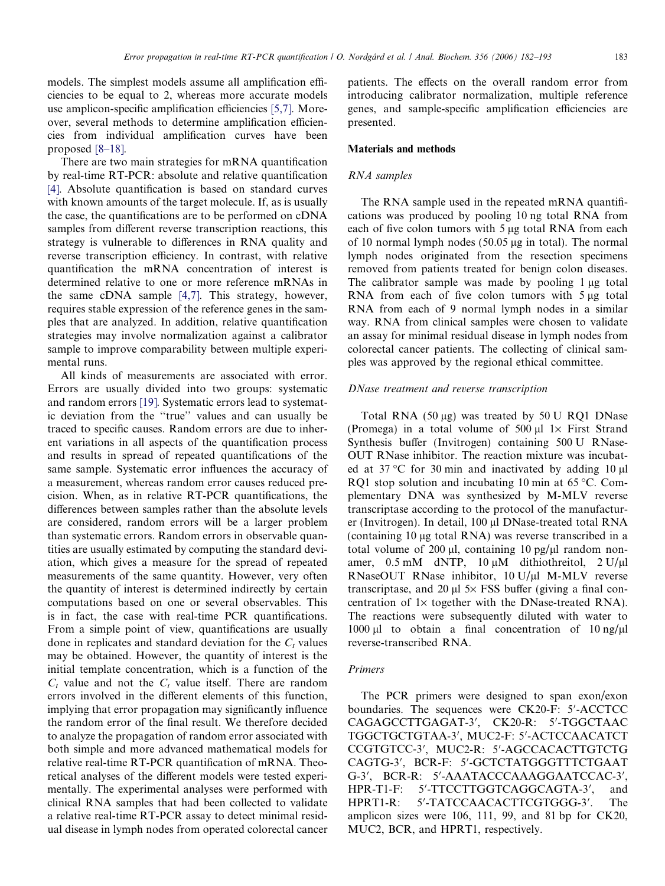models. The simplest models assume all amplification efficiencies to be equal to 2, whereas more accurate models use amplicon-specific amplification efficiencies [\[5,7\].](#page-10-0) Moreover, several methods to determine amplification efficiencies from individual amplification curves have been proposed [\[8–18\].](#page-10-0)

There are two main strategies for mRNA quantification by real-time RT-PCR: absolute and relative quantification [\[4\].](#page-10-0) Absolute quantification is based on standard curves with known amounts of the target molecule. If, as is usually the case, the quantifications are to be performed on cDNA samples from different reverse transcription reactions, this strategy is vulnerable to differences in RNA quality and reverse transcription efficiency. In contrast, with relative quantification the mRNA concentration of interest is determined relative to one or more reference mRNAs in the same cDNA sample [\[4,7\]](#page-10-0). This strategy, however, requires stable expression of the reference genes in the samples that are analyzed. In addition, relative quantification strategies may involve normalization against a calibrator sample to improve comparability between multiple experimental runs.

All kinds of measurements are associated with error. Errors are usually divided into two groups: systematic and random errors [\[19\]](#page-10-0). Systematic errors lead to systematic deviation from the ''true'' values and can usually be traced to specific causes. Random errors are due to inherent variations in all aspects of the quantification process and results in spread of repeated quantifications of the same sample. Systematic error influences the accuracy of a measurement, whereas random error causes reduced precision. When, as in relative RT-PCR quantifications, the differences between samples rather than the absolute levels are considered, random errors will be a larger problem than systematic errors. Random errors in observable quantities are usually estimated by computing the standard deviation, which gives a measure for the spread of repeated measurements of the same quantity. However, very often the quantity of interest is determined indirectly by certain computations based on one or several observables. This is in fact, the case with real-time PCR quantifications. From a simple point of view, quantifications are usually done in replicates and standard deviation for the  $C_t$  values may be obtained. However, the quantity of interest is the initial template concentration, which is a function of the  $C_t$  value and not the  $C_t$  value itself. There are random errors involved in the different elements of this function, implying that error propagation may significantly influence the random error of the final result. We therefore decided to analyze the propagation of random error associated with both simple and more advanced mathematical models for relative real-time RT-PCR quantification of mRNA. Theoretical analyses of the different models were tested experimentally. The experimental analyses were performed with clinical RNA samples that had been collected to validate a relative real-time RT-PCR assay to detect minimal residual disease in lymph nodes from operated colorectal cancer patients. The effects on the overall random error from introducing calibrator normalization, multiple reference genes, and sample-specific amplification efficiencies are presented.

### Materials and methods

## RNA samples

The RNA sample used in the repeated mRNA quantifications was produced by pooling 10 ng total RNA from each of five colon tumors with  $5 \mu$ g total RNA from each of 10 normal lymph nodes  $(50.05 \mu g)$  in total). The normal lymph nodes originated from the resection specimens removed from patients treated for benign colon diseases. The calibrator sample was made by pooling  $1 \mu$ g total RNA from each of five colon tumors with  $5 \mu g$  total RNA from each of 9 normal lymph nodes in a similar way. RNA from clinical samples were chosen to validate an assay for minimal residual disease in lymph nodes from colorectal cancer patients. The collecting of clinical samples was approved by the regional ethical committee.

## DNase treatment and reverse transcription

Total RNA  $(50 \mu g)$  was treated by 50 U RQ1 DNase (Promega) in a total volume of 500  $\mu$ l 1× First Strand Synthesis buffer (Invitrogen) containing 500 U RNase-OUT RNase inhibitor. The reaction mixture was incubated at 37 °C for 30 min and inactivated by adding 10  $\mu$ l RQ1 stop solution and incubating 10 min at 65  $\degree$ C. Complementary DNA was synthesized by M-MLV reverse transcriptase according to the protocol of the manufacturer (Invitrogen). In detail, 100 µl DNase-treated total RNA (containing 10 lg total RNA) was reverse transcribed in a total volume of 200  $\mu$ l, containing 10 pg/ $\mu$ l random nonamer,  $0.5$  mM dNTP,  $10 \mu M$  dithiothreitol,  $2 U/\mu$ l RNaseOUT RNase inhibitor,  $10 U/\mu$ l M-MLV reverse transcriptase, and 20  $\mu$ l 5× FSS buffer (giving a final concentration of  $1 \times$  together with the DNase-treated RNA). The reactions were subsequently diluted with water to 1000  $\mu$ l to obtain a final concentration of 10 ng/ $\mu$ l reverse-transcribed RNA.

#### Primers

The PCR primers were designed to span exon/exon boundaries. The sequences were CK20-F: 5'-ACCTCC CAGAGCCTTGAGAT-3', CK20-R: 5'-TGGCTAAC TGGCTGCTGTAA-3', MUC2-F: 5'-ACTCCAACATCT CCGTGTCC-3', MUC2-R: 5'-AGCCACACTTGTCTG CAGTG-3', BCR-F: 5'-GCTCTATGGGTTTCTGAAT G-3', BCR-R: 5'-AAATACCCAAAGGAATCCAC-3',  $HPR-T1-F:$ 5'-TTCCTTGGTCAGGCAGTA-3', , and HPRT1-R: 5'-TATCCAACACTTCGTGGG-3'. . The amplicon sizes were 106, 111, 99, and 81 bp for CK20, MUC2, BCR, and HPRT1, respectively.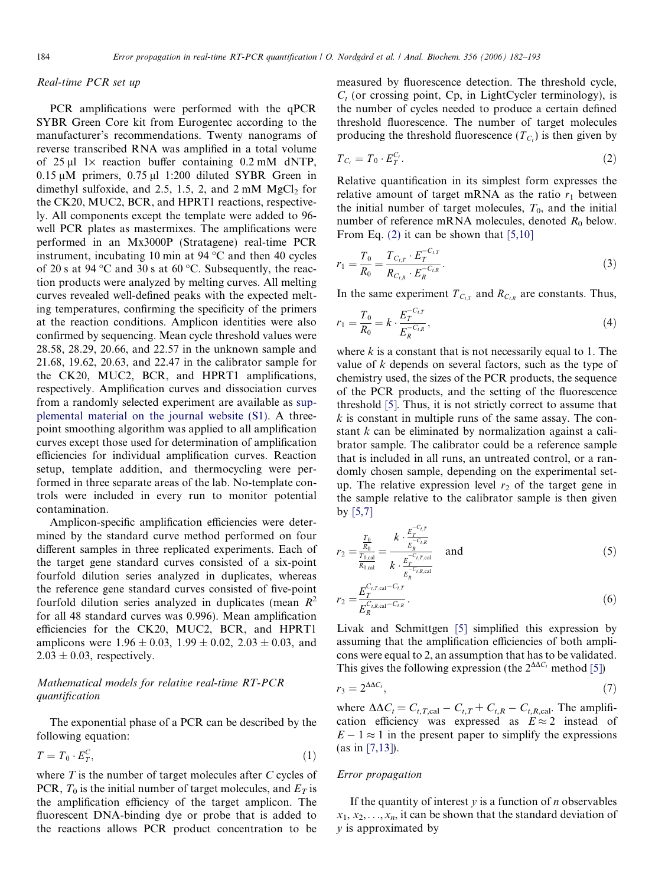## <span id="page-2-0"></span>Real-time PCR set up

PCR amplifications were performed with the qPCR SYBR Green Core kit from Eurogentec according to the manufacturer's recommendations. Twenty nanograms of reverse transcribed RNA was amplified in a total volume of  $25 \text{ }\mu\text{l} \times \text{reaction}$  buffer containing  $0.2 \text{ }\text{m} \text{M}$  dNTP,  $0.15 \mu M$  primers,  $0.75 \mu l$  1:200 diluted SYBR Green in dimethyl sulfoxide, and 2.5, 1.5, 2, and  $2 \text{ mM } MgCl<sub>2</sub>$  for the CK20, MUC2, BCR, and HPRT1 reactions, respectively. All components except the template were added to 96 well PCR plates as mastermixes. The amplifications were performed in an Mx3000P (Stratagene) real-time PCR instrument, incubating 10 min at 94  $\degree$ C and then 40 cycles of 20 s at 94 °C and 30 s at 60 °C. Subsequently, the reaction products were analyzed by melting curves. All melting curves revealed well-defined peaks with the expected melting temperatures, confirming the specificity of the primers at the reaction conditions. Amplicon identities were also confirmed by sequencing. Mean cycle threshold values were 28.58, 28.29, 20.66, and 22.57 in the unknown sample and 21.68, 19.62, 20.63, and 22.47 in the calibrator sample for the CK20, MUC2, BCR, and HPRT1 amplifications, respectively. Amplification curves and dissociation curves from a randomly selected experiment are available as supplemental material on the journal website (S1). A threepoint smoothing algorithm was applied to all amplification curves except those used for determination of amplification efficiencies for individual amplification curves. Reaction setup, template addition, and thermocycling were performed in three separate areas of the lab. No-template controls were included in every run to monitor potential contamination.

Amplicon-specific amplification efficiencies were determined by the standard curve method performed on four different samples in three replicated experiments. Each of the target gene standard curves consisted of a six-point fourfold dilution series analyzed in duplicates, whereas the reference gene standard curves consisted of five-point fourfold dilution series analyzed in duplicates (mean  $R^2$ for all 48 standard curves was 0.996). Mean amplification efficiencies for the CK20, MUC2, BCR, and HPRT1 amplicons were  $1.96 \pm 0.03$ ,  $1.99 \pm 0.02$ ,  $2.03 \pm 0.03$ , and  $2.03 \pm 0.03$ , respectively.

## Mathematical models for relative real-time RT-PCR quantification

The exponential phase of a PCR can be described by the following equation:

$$
T = T_0 \cdot E_T^C,\tag{1}
$$

where  $T$  is the number of target molecules after  $C$  cycles of PCR,  $T_0$  is the initial number of target molecules, and  $E_T$  is the amplification efficiency of the target amplicon. The fluorescent DNA-binding dye or probe that is added to the reactions allows PCR product concentration to be

measured by fluorescence detection. The threshold cycle,  $C_t$  (or crossing point, Cp, in LightCycler terminology), is the number of cycles needed to produce a certain defined threshold fluorescence. The number of target molecules producing the threshold fluorescence  $(T_C)$  is then given by

$$
T_{C_t} = T_0 \cdot E_T^{C_t}.\tag{2}
$$

Relative quantification in its simplest form expresses the relative amount of target mRNA as the ratio  $r_1$  between the initial number of target molecules,  $T_0$ , and the initial number of reference mRNA molecules, denoted  $R_0$  below. From Eq.  $(2)$  it can be shown that  $[5,10]$ 

$$
r_1 = \frac{T_0}{R_0} = \frac{T_{C_{t,T}} \cdot E_T^{-C_{t,T}}}{R_{C_{t,R}} \cdot E_R^{-C_{t,R}}}.
$$
\n(3)

In the same experiment  $T_{C_{t,T}}$  and  $R_{C_{t,R}}$  are constants. Thus,

$$
r_1 = \frac{T_0}{R_0} = k \cdot \frac{E_T^{-C_{t,T}}}{E_R^{-C_{t,R}}},\tag{4}
$$

where  $k$  is a constant that is not necessarily equal to 1. The value of  $k$  depends on several factors, such as the type of chemistry used, the sizes of the PCR products, the sequence of the PCR products, and the setting of the fluorescence threshold [\[5\]](#page-10-0). Thus, it is not strictly correct to assume that  $k$  is constant in multiple runs of the same assay. The constant  $k$  can be eliminated by normalization against a calibrator sample. The calibrator could be a reference sample that is included in all runs, an untreated control, or a randomly chosen sample, depending on the experimental setup. The relative expression level  $r_2$  of the target gene in the sample relative to the calibrator sample is then given by [\[5,7\]](#page-10-0)

$$
r_2 = \frac{\frac{T_0}{R_0}}{\frac{T_{0,\text{cal}}}{R_{0,\text{cal}}}} = \frac{k \cdot \frac{E_T^{-C_{t,T}}}{E_R^{-C_{t,R}}}}{k \cdot \frac{E_T^{-C_{t,T,\text{cal}}}}{E_R^{-C_{t,R,\text{cal}}}}}
$$
 and (5)

$$
r_2 = \frac{E_T^{C_{t,T,\text{cal}} - C_{t,T}}}{E_R^{C_{t,R,\text{cal}} - C_{t,R}}}.
$$
\n(6)

Livak and Schmittgen [\[5\]](#page-10-0) simplified this expression by assuming that the amplification efficiencies of both amplicons were equal to 2, an assumption that has to be validated. This gives the following expression (the  $2^{\Delta\Delta C_t}$  method [\[5\]](#page-10-0))

$$
r_3 = 2^{\Delta \Delta C_t},\tag{7}
$$

where  $\Delta \Delta C_t = C_{t,T,\text{cal}} - C_{t,T} + C_{t,R} - C_{t,R,\text{cal}}$ . The amplification efficiency was expressed as  $E \approx 2$  instead of  $E - 1 \approx 1$  in the present paper to simplify the expressions (as in [\[7,13\]\)](#page-10-0).

#### Error propagation

If the quantity of interest  $y$  is a function of *n* observables  $x_1, x_2, \ldots, x_n$ , it can be shown that the standard deviation of  $y$  is approximated by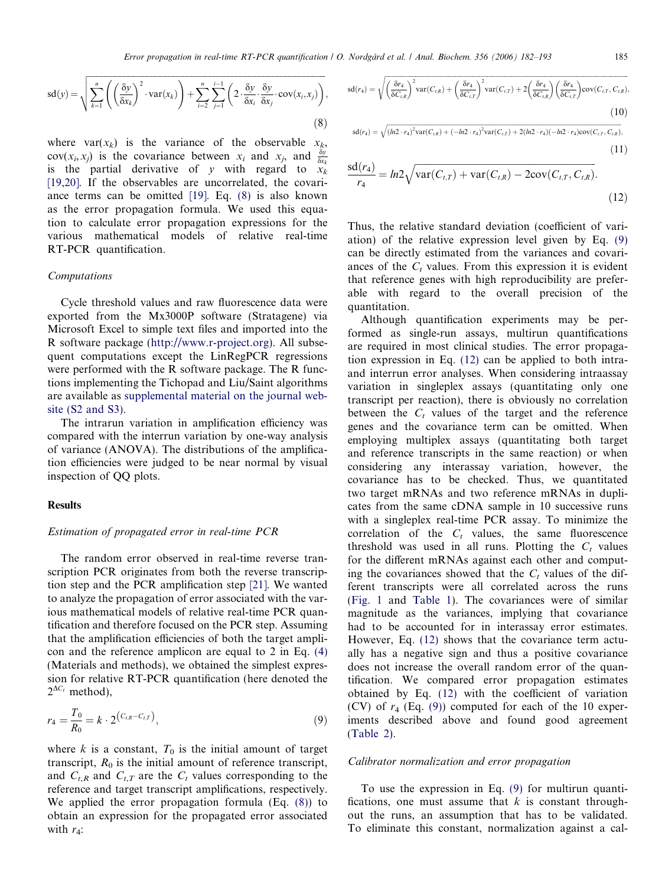<span id="page-3-0"></span>
$$
sd(y) = \sqrt{\sum_{k=1}^{n} \left( \left( \frac{\delta y}{\delta x_k} \right)^2 \cdot var(x_k) \right) + \sum_{i=2}^{n} \sum_{j=1}^{i-1} \left( 2 \cdot \frac{\delta y}{\delta x_i} \cdot \frac{\delta y}{\delta x_j} \cdot cov(x_i, x_j) \right)},
$$
\n(8)

where var( $x_k$ ) is the variance of the observable  $x_k$ ,  $cov(x_i, x_j)$  is the covariance between  $x_i$  and  $x_j$ , and  $\frac{\delta y}{\delta x_k}$ is the partial derivative of y with regard to  $x_k$ [\[19,20\].](#page-10-0) If the observables are uncorrelated, the covariance terms can be omitted [\[19\].](#page-10-0) Eq. (8) is also known as the error propagation formula. We used this equation to calculate error propagation expressions for the various mathematical models of relative real-time RT-PCR quantification.

#### Computations

Cycle threshold values and raw fluorescence data were exported from the Mx3000P software (Stratagene) via Microsoft Excel to simple text files and imported into the R software package [\(http://www.r-project.org](http://www.r-project.org)). All subsequent computations except the LinRegPCR regressions were performed with the R software package. The R functions implementing the Tichopad and Liu/Saint algorithms are available as supplemental material on the journal website (S2 and S3).

The intrarun variation in amplification efficiency was compared with the interrun variation by one-way analysis of variance (ANOVA). The distributions of the amplification efficiencies were judged to be near normal by visual inspection of QQ plots.

## **Results**

### Estimation of propagated error in real-time PCR

The random error observed in real-time reverse transcription PCR originates from both the reverse transcription step and the PCR amplification step [\[21\].](#page-10-0) We wanted to analyze the propagation of error associated with the various mathematical models of relative real-time PCR quantification and therefore focused on the PCR step. Assuming that the amplification efficiencies of both the target amplicon and the reference amplicon are equal to 2 in Eq. [\(4\)](#page-2-0) (Materials and methods), we obtained the simplest expression for relative RT-PCR quantification (here denoted the  $2^{\Delta C_t}$  method),

$$
r_4 = \frac{T_0}{R_0} = k \cdot 2^{\left(C_{t,R} - C_{t,T}\right)},\tag{9}
$$

where k is a constant,  $T_0$  is the initial amount of target transcript,  $R_0$  is the initial amount of reference transcript, and  $C_{t,R}$  and  $C_{t,T}$  are the  $C_t$  values corresponding to the reference and target transcript amplifications, respectively. We applied the error propagation formula (Eq. (8)) to obtain an expression for the propagated error associated with  $r_4$ :

$$
\mathrm{sd}(r_4) = \sqrt{\left(\frac{\delta r_4}{\delta C_{t,R}}\right)^2 \mathrm{var}(C_{t,R}) + \left(\frac{\delta r_4}{\delta C_{t,T}}\right)^2 \mathrm{var}(C_{t,T}) + 2\left(\frac{\delta r_4}{\delta C_{t,R}}\right) \left(\frac{\delta r_4}{\delta C_{t,T}}\right) \mathrm{cov}(C_{t,T}, C_{t,R})},\tag{10}
$$

 $sd(r_4) = \sqrt{(h2 \cdot r_4)^2 var(C_{t,R}) + (-h2 \cdot r_4)^2 var(C_{t,T}) + 2(h2 \cdot r_4)(-h2 \cdot r_4)cov(C_{t,T}, C_{t,R})}$  $(11)$ 

$$
\frac{\mathrm{sd}(r_4)}{r_4} = \ln 2 \sqrt{\mathrm{var}(C_{t,T}) + \mathrm{var}(C_{t,R}) - 2\mathrm{cov}(C_{t,T}, C_{t,R})}.
$$
\n(12)

Thus, the relative standard deviation (coefficient of variation) of the relative expression level given by Eq. (9) can be directly estimated from the variances and covariances of the  $C_t$  values. From this expression it is evident that reference genes with high reproducibility are preferable with regard to the overall precision of the quantitation.

Although quantification experiments may be performed as single-run assays, multirun quantifications are required in most clinical studies. The error propagation expression in Eq. (12) can be applied to both intraand interrun error analyses. When considering intraassay variation in singleplex assays (quantitating only one transcript per reaction), there is obviously no correlation between the  $C_t$  values of the target and the reference genes and the covariance term can be omitted. When employing multiplex assays (quantitating both target and reference transcripts in the same reaction) or when considering any interassay variation, however, the covariance has to be checked. Thus, we quantitated two target mRNAs and two reference mRNAs in duplicates from the same cDNA sample in 10 successive runs with a singleplex real-time PCR assay. To minimize the correlation of the  $C_t$  values, the same fluorescence threshold was used in all runs. Plotting the  $C_t$  values for the different mRNAs against each other and computing the covariances showed that the  $C_t$  values of the different transcripts were all correlated across the runs ([Fig. 1](#page-4-0) and [Table 1\)](#page-4-0). The covariances were of similar magnitude as the variances, implying that covariance had to be accounted for in interassay error estimates. However, Eq. (12) shows that the covariance term actually has a negative sign and thus a positive covariance does not increase the overall random error of the quantification. We compared error propagation estimates obtained by Eq. (12) with the coefficient of variation (CV) of  $r_4$  (Eq. (9)) computed for each of the 10 experiments described above and found good agreement ([Table 2\)](#page-4-0).

### Calibrator normalization and error propagation

To use the expression in Eq. (9) for multirun quantifications, one must assume that  $k$  is constant throughout the runs, an assumption that has to be validated. To eliminate this constant, normalization against a cal-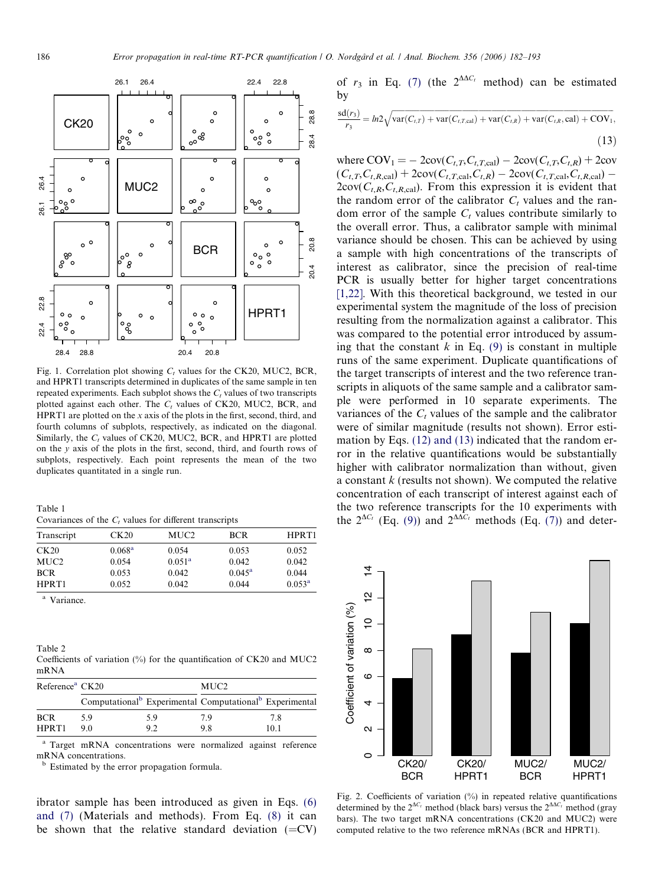<span id="page-4-0"></span>

Fig. 1. Correlation plot showing  $C_t$  values for the CK20, MUC2, BCR, and HPRT1 transcripts determined in duplicates of the same sample in ten repeated experiments. Each subplot shows the  $C_t$  values of two transcripts plotted against each other. The  $C_t$  values of CK20, MUC2, BCR, and HPRT1 are plotted on the  $x$  axis of the plots in the first, second, third, and fourth columns of subplots, respectively, as indicated on the diagonal. Similarly, the  $C_t$  values of CK20, MUC2, BCR, and HPRT1 are plotted on the  $\nu$  axis of the plots in the first, second, third, and fourth rows of subplots, respectively. Each point represents the mean of the two duplicates quantitated in a single run.

Table 1

Covariances of the  $C_t$  values for different transcripts

| Transcript        | CK 20           | MUC <sub>2</sub>   | <b>BCR</b>      | HPR <sub>T1</sub> |
|-------------------|-----------------|--------------------|-----------------|-------------------|
| CK20              | $0.068^{\rm a}$ | 0.054              | 0.053           | 0.052             |
| MUC <sub>2</sub>  | 0.054           | 0.051 <sup>a</sup> | 0.042           | 0.042             |
| <b>BCR</b>        | 0.053           | 0.042              | $0.045^{\rm a}$ | 0.044             |
| HPR <sub>T1</sub> | 0.052           | 0.042              | 0.044           | $0.053^a$         |
|                   |                 |                    |                 |                   |

<sup>a</sup> Variance.

Table 2

Coefficients of variation (%) for the quantification of CK20 and MUC2 mRNA

| Reference <sup>a</sup> CK20 |    |    | MUC <sub>2</sub>                                                                |      |
|-----------------------------|----|----|---------------------------------------------------------------------------------|------|
|                             |    |    | Computational <sup>b</sup> Experimental Computational <sup>b</sup> Experimental |      |
| <b>BCR</b>                  | 59 | 59 | 79                                                                              | 78   |
| HPRT <sub>1</sub>           | 90 | 92 | 98                                                                              | 10-1 |

<sup>a</sup> Target mRNA concentrations were normalized against reference mRNA concentrations.

<sup>b</sup> Estimated by the error propagation formula.

ibrator sample has been introduced as given in Eqs. (6) and (7) (Materials and methods). From Eq. [\(8\)](#page-3-0) it can be shown that the relative standard deviation  $(=CV)$  of  $r_3$  in Eq. [\(7\)](#page-2-0) (the  $2^{\Delta\Delta C_t}$  method) can be estimated by

$$
\frac{\mathrm{sd}(r_3)}{r_3} = \ln 2\sqrt{\mathrm{var}(C_{t,T}) + \mathrm{var}(C_{t,T,cal}) + \mathrm{var}(C_{t,R}) + \mathrm{var}(C_{t,R}, \mathrm{cal}) + \mathrm{COV}_1},\tag{13}
$$

where  $COV_1 = -2\text{cov}(C_{t,T}, C_{t,T,\text{cal}}) - 2\text{cov}(C_{t,T}, C_{t,R}) + 2\text{cov}$  $(C_{t,T}, C_{t,R,cal}) + 2\text{cov}(C_{t,T,cal}, C_{t,R}) - 2\text{cov}(C_{t,T,cal}, C_{t,R,cal}) 2\text{cov}(C_{t,R}, C_{t,R,\text{cal}})$ . From this expression it is evident that the random error of the calibrator  $C_t$  values and the random error of the sample  $C_t$  values contribute similarly to the overall error. Thus, a calibrator sample with minimal variance should be chosen. This can be achieved by using a sample with high concentrations of the transcripts of interest as calibrator, since the precision of real-time PCR is usually better for higher target concentrations [\[1,22\].](#page-10-0) With this theoretical background, we tested in our experimental system the magnitude of the loss of precision resulting from the normalization against a calibrator. This was compared to the potential error introduced by assuming that the constant  $k$  in Eq. [\(9\)](#page-3-0) is constant in multiple runs of the same experiment. Duplicate quantifications of the target transcripts of interest and the two reference transcripts in aliquots of the same sample and a calibrator sample were performed in 10 separate experiments. The variances of the  $C_t$  values of the sample and the calibrator were of similar magnitude (results not shown). Error estimation by Eqs. [\(12\) and \(13\)](#page-3-0) indicated that the random error in the relative quantifications would be substantially higher with calibrator normalization than without, given a constant k (results not shown). We computed the relative concentration of each transcript of interest against each of the two reference transcripts for the 10 experiments with the  $2^{\Delta C_t}$  (Eq. [\(9\)\)](#page-3-0) and  $2^{\Delta \Delta C_t}$  methods (Eq. [\(7\)](#page-2-0)) and deter-



Fig. 2. Coefficients of variation (%) in repeated relative quantifications determined by the  $2^{\Delta C_t}$  method (black bars) versus the  $2^{\Delta\Delta C_t}$  method (gray bars). The two target mRNA concentrations (CK20 and MUC2) were computed relative to the two reference mRNAs (BCR and HPRT1).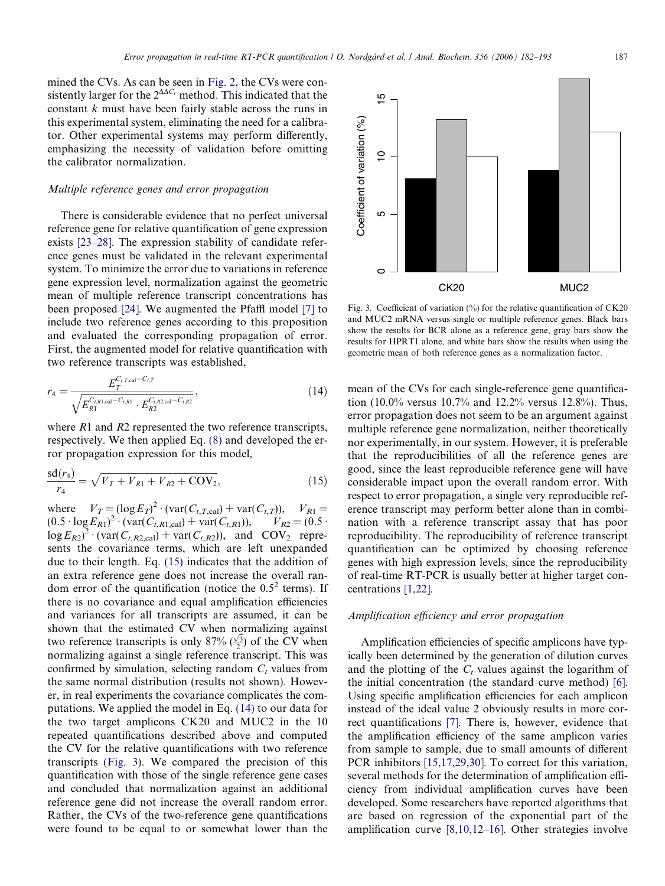<span id="page-5-0"></span>mined the CVs. As can be seen in [Fig. 2,](#page-4-0) the CVs were consistently larger for the  $2^{\Delta\Delta C_t}$  method. This indicated that the constant  $k$  must have been fairly stable across the runs in this experimental system, eliminating the need for a calibrator. Other experimental systems may perform differently, emphasizing the necessity of validation before omitting the calibrator normalization.

## Multiple reference genes and error propagation

There is considerable evidence that no perfect universal reference gene for relative quantification of gene expression exists [\[23–28\].](#page-10-0) The expression stability of candidate reference genes must be validated in the relevant experimental system. To minimize the error due to variations in reference gene expression level, normalization against the geometric mean of multiple reference transcript concentrations has been proposed [\[24\]](#page-10-0). We augmented the Pfaffl model [\[7\]](#page-10-0) to include two reference genes according to this proposition and evaluated the corresponding propagation of error. First, the augmented model for relative quantification with two reference transcripts was established,

$$
r_4 = \frac{E_T^{C_{t,T,cal}-C_{t,T}}}{\sqrt{E_{R1}^{C_{t,R1,cal}-C_{t,R1}} \cdot E_{R2}^{C_{t,R2,cal}-C_{t,R2}}}},
$$
(14)

where R1 and R2 represented the two reference transcripts, respectively. We then applied Eq. [\(8\)](#page-3-0) and developed the error propagation expression for this model,

$$
\frac{sd(r_4)}{r_4} = \sqrt{V_T + V_{R1} + V_{R2} + COV_2},\tag{15}
$$

where  $V_T = (\log E_T)^2 \cdot (\text{var}(C_{t,T,\text{cal}}) + \text{var}(C_{t,T})), \quad V_{R1} =$  $(0.5 \cdot \log E_{R1})^2 \cdot (\text{var}(C_{t,R1,cal}) + \text{var}(C_{t,R1})), \qquad V_{R2} = (0.5 \cdot$  $\log E_{R2}$ )<sup>2</sup> · (var( $C_{t,R2,cal}$ ) + var( $C_{t,R2}$ )), and COV<sub>2</sub> represents the covariance terms, which are left unexpanded due to their length. Eq. (15) indicates that the addition of an extra reference gene does not increase the overall random error of the quantification (notice the  $0.5<sup>2</sup>$  terms). If there is no covariance and equal amplification efficiencies and variances for all transcripts are assumed, it can be shown that the estimated CV when normalizing against shown that the estimated CV when normanizing against<br>two reference transcripts is only 87% ( $\frac{\sqrt{3}}{2}$ ) of the CV when normalizing against a single reference transcript. This was confirmed by simulation, selecting random  $C_t$  values from the same normal distribution (results not shown). However, in real experiments the covariance complicates the computations. We applied the model in Eq. (14) to our data for the two target amplicons CK20 and MUC2 in the 10 repeated quantifications described above and computed the CV for the relative quantifications with two reference transcripts (Fig. 3). We compared the precision of this quantification with those of the single reference gene cases and concluded that normalization against an additional reference gene did not increase the overall random error. Rather, the CVs of the two-reference gene quantifications were found to be equal to or somewhat lower than the



Fig. 3. Coefficient of variation (%) for the relative quantification of CK20 and MUC2 mRNA versus single or multiple reference genes. Black bars show the results for BCR alone as a reference gene, gray bars show the results for HPRT1 alone, and white bars show the results when using the geometric mean of both reference genes as a normalization factor.

mean of the CVs for each single-reference gene quantification (10.0% versus 10.7% and 12.2% versus 12.8%). Thus, error propagation does not seem to be an argument against multiple reference gene normalization, neither theoretically nor experimentally, in our system. However, it is preferable that the reproducibilities of all the reference genes are good, since the least reproducible reference gene will have considerable impact upon the overall random error. With respect to error propagation, a single very reproducible reference transcript may perform better alone than in combination with a reference transcript assay that has poor reproducibility. The reproducibility of reference transcript quantification can be optimized by choosing reference genes with high expression levels, since the reproducibility of real-time RT-PCR is usually better at higher target concentrations [\[1,22\]](#page-10-0).

## Amplification efficiency and error propagation

Amplification efficiencies of specific amplicons have typically been determined by the generation of dilution curves and the plotting of the  $C_t$  values against the logarithm of the initial concentration (the standard curve method) [\[6\].](#page-10-0) Using specific amplification efficiencies for each amplicon instead of the ideal value 2 obviously results in more correct quantifications [\[7\].](#page-10-0) There is, however, evidence that the amplification efficiency of the same amplicon varies from sample to sample, due to small amounts of different PCR inhibitors [\[15,17,29,30\]](#page-10-0). To correct for this variation, several methods for the determination of amplification efficiency from individual amplification curves have been developed. Some researchers have reported algorithms that are based on regression of the exponential part of the amplification curve [\[8,10,12–16\].](#page-10-0) Other strategies involve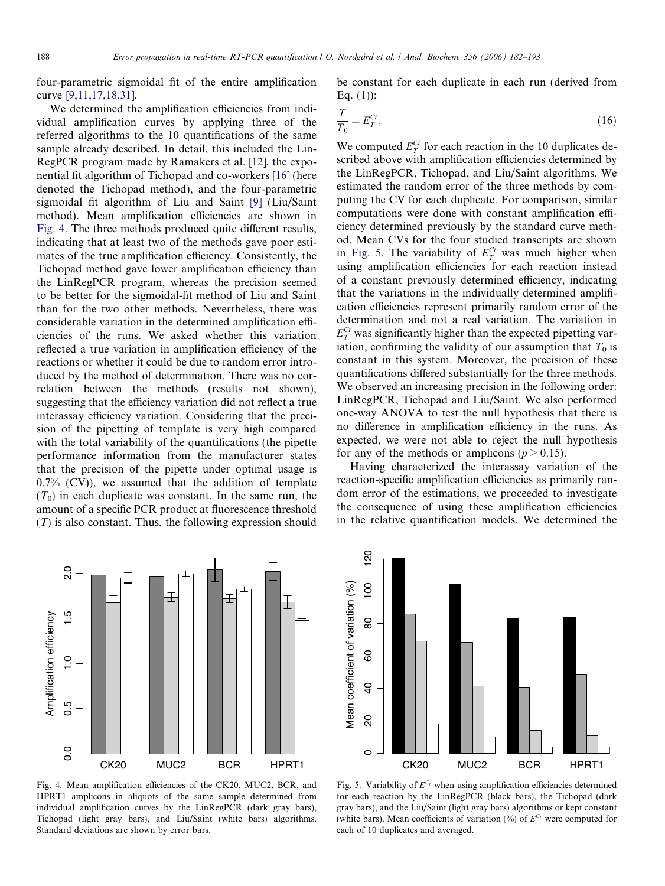<span id="page-6-0"></span>four-parametric sigmoidal fit of the entire amplification curve [\[9,11,17,18,31\]](#page-10-0).

We determined the amplification efficiencies from individual amplification curves by applying three of the referred algorithms to the 10 quantifications of the same sample already described. In detail, this included the Lin-RegPCR program made by Ramakers et al. [\[12\]](#page-10-0), the exponential fit algorithm of Tichopad and co-workers [\[16\]](#page-10-0) (here denoted the Tichopad method), and the four-parametric sigmoidal fit algorithm of Liu and Saint [\[9\]](#page-10-0) (Liu/Saint method). Mean amplification efficiencies are shown in Fig. 4. The three methods produced quite different results, indicating that at least two of the methods gave poor estimates of the true amplification efficiency. Consistently, the Tichopad method gave lower amplification efficiency than the LinRegPCR program, whereas the precision seemed to be better for the sigmoidal-fit method of Liu and Saint than for the two other methods. Nevertheless, there was considerable variation in the determined amplification efficiencies of the runs. We asked whether this variation reflected a true variation in amplification efficiency of the reactions or whether it could be due to random error introduced by the method of determination. There was no correlation between the methods (results not shown), suggesting that the efficiency variation did not reflect a true interassay efficiency variation. Considering that the precision of the pipetting of template is very high compared with the total variability of the quantifications (the pipette performance information from the manufacturer states that the precision of the pipette under optimal usage is  $0.7\%$  (CV)), we assumed that the addition of template  $(T_0)$  in each duplicate was constant. In the same run, the amount of a specific PCR product at fluorescence threshold  $(T)$  is also constant. Thus, the following expression should be constant for each duplicate in each run (derived from Eq.  $(1)$ :

$$
\frac{T}{T_0} = E_T^{Ct}.\tag{16}
$$

We computed  $E_T^{Ct}$  for each reaction in the 10 duplicates described above with amplification efficiencies determined by the LinRegPCR, Tichopad, and Liu/Saint algorithms. We estimated the random error of the three methods by computing the CV for each duplicate. For comparison, similar computations were done with constant amplification efficiency determined previously by the standard curve method. Mean CVs for the four studied transcripts are shown in Fig. 5. The variability of  $E_T^{Ct}$  was much higher when using amplification efficiencies for each reaction instead of a constant previously determined efficiency, indicating that the variations in the individually determined amplification efficiencies represent primarily random error of the determination and not a real variation. The variation in  $E_T^{Ct}$  was significantly higher than the expected pipetting variation, confirming the validity of our assumption that  $T_0$  is constant in this system. Moreover, the precision of these quantifications differed substantially for the three methods. We observed an increasing precision in the following order: LinRegPCR, Tichopad and Liu/Saint. We also performed one-way ANOVA to test the null hypothesis that there is no difference in amplification efficiency in the runs. As expected, we were not able to reject the null hypothesis for any of the methods or amplicons ( $p > 0.15$ ).

Having characterized the interassay variation of the reaction-specific amplification efficiencies as primarily random error of the estimations, we proceeded to investigate the consequence of using these amplification efficiencies in the relative quantification models. We determined the



Fig. 4. Mean amplification efficiencies of the CK20, MUC2, BCR, and HPRT1 amplicons in aliquots of the same sample determined from individual amplification curves by the LinRegPCR (dark gray bars), Tichopad (light gray bars), and Liu/Saint (white bars) algorithms. Standard deviations are shown by error bars.



Fig. 5. Variability of  $E^{C_t}$  when using amplification efficiencies determined for each reaction by the LinRegPCR (black bars), the Tichopad (dark gray bars), and the Liu/Saint (light gray bars) algorithms or kept constant (white bars). Mean coefficients of variation  $(\%)$  of  $E^{C_t}$  were computed for each of 10 duplicates and averaged.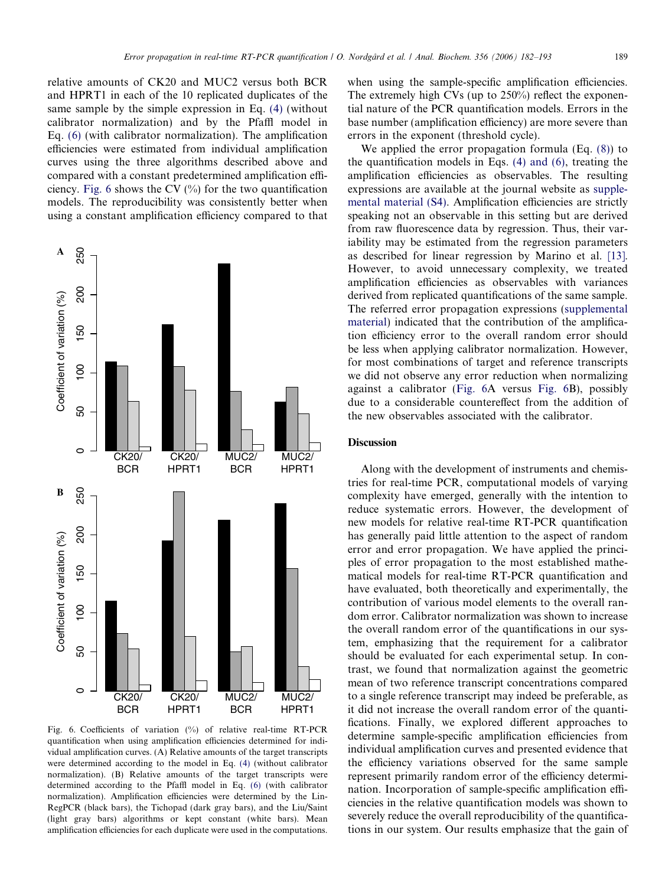relative amounts of CK20 and MUC2 versus both BCR and HPRT1 in each of the 10 replicated duplicates of the same sample by the simple expression in Eq. [\(4\)](#page-2-0) (without calibrator normalization) and by the Pfaffl model in Eq. (6) (with calibrator normalization). The amplification efficiencies were estimated from individual amplification curves using the three algorithms described above and compared with a constant predetermined amplification efficiency. Fig. 6 shows the CV  $(\%)$  for the two quantification models. The reproducibility was consistently better when using a constant amplification efficiency compared to that



Fig. 6. Coefficients of variation (%) of relative real-time RT-PCR quantification when using amplification efficiencies determined for individual amplification curves. (A) Relative amounts of the target transcripts were determined according to the model in Eq. [\(4\)](#page-2-0) (without calibrator normalization). (B) Relative amounts of the target transcripts were determined according to the Pfaffl model in Eq. (6) (with calibrator normalization). Amplification efficiencies were determined by the Lin-RegPCR (black bars), the Tichopad (dark gray bars), and the Liu/Saint (light gray bars) algorithms or kept constant (white bars). Mean amplification efficiencies for each duplicate were used in the computations.

when using the sample-specific amplification efficiencies. The extremely high CVs (up to 250%) reflect the exponential nature of the PCR quantification models. Errors in the base number (amplification efficiency) are more severe than errors in the exponent (threshold cycle).

We applied the error propagation formula (Eq. [\(8\)\)](#page-3-0) to the quantification models in Eqs. [\(4\) and \(6\)](#page-2-0), treating the amplification efficiencies as observables. The resulting expressions are available at the journal website as supplemental material (S4). Amplification efficiencies are strictly speaking not an observable in this setting but are derived from raw fluorescence data by regression. Thus, their variability may be estimated from the regression parameters as described for linear regression by Marino et al. [\[13\].](#page-10-0) However, to avoid unnecessary complexity, we treated amplification efficiencies as observables with variances derived from replicated quantifications of the same sample. The referred error propagation expressions (supplemental material) indicated that the contribution of the amplification efficiency error to the overall random error should be less when applying calibrator normalization. However, for most combinations of target and reference transcripts we did not observe any error reduction when normalizing against a calibrator (Fig. 6A versus Fig. 6B), possibly due to a considerable countereffect from the addition of the new observables associated with the calibrator.

#### **Discussion**

Along with the development of instruments and chemistries for real-time PCR, computational models of varying complexity have emerged, generally with the intention to reduce systematic errors. However, the development of new models for relative real-time RT-PCR quantification has generally paid little attention to the aspect of random error and error propagation. We have applied the principles of error propagation to the most established mathematical models for real-time RT-PCR quantification and have evaluated, both theoretically and experimentally, the contribution of various model elements to the overall random error. Calibrator normalization was shown to increase the overall random error of the quantifications in our system, emphasizing that the requirement for a calibrator should be evaluated for each experimental setup. In contrast, we found that normalization against the geometric mean of two reference transcript concentrations compared to a single reference transcript may indeed be preferable, as it did not increase the overall random error of the quantifications. Finally, we explored different approaches to determine sample-specific amplification efficiencies from individual amplification curves and presented evidence that the efficiency variations observed for the same sample represent primarily random error of the efficiency determination. Incorporation of sample-specific amplification efficiencies in the relative quantification models was shown to severely reduce the overall reproducibility of the quantifications in our system. Our results emphasize that the gain of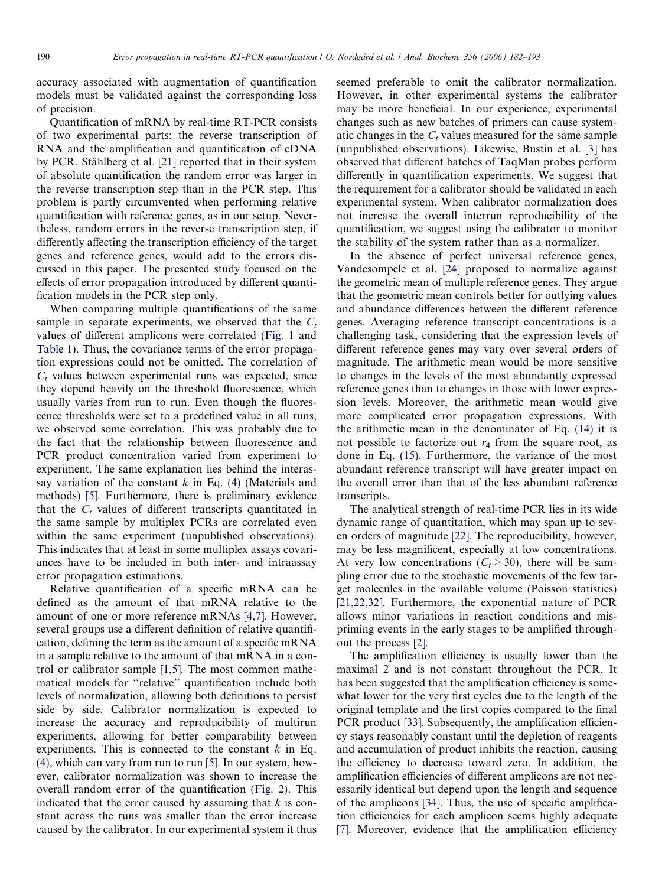accuracy associated with augmentation of quantification models must be validated against the corresponding loss of precision.

Quantification of mRNA by real-time RT-PCR consists of two experimental parts: the reverse transcription of RNA and the amplification and quantification of cDNA by PCR. Ståhlberg et al. [\[21\]](#page-10-0) reported that in their system of absolute quantification the random error was larger in the reverse transcription step than in the PCR step. This problem is partly circumvented when performing relative quantification with reference genes, as in our setup. Nevertheless, random errors in the reverse transcription step, if differently affecting the transcription efficiency of the target genes and reference genes, would add to the errors discussed in this paper. The presented study focused on the effects of error propagation introduced by different quantification models in the PCR step only.

When comparing multiple quantifications of the same sample in separate experiments, we observed that the  $C_t$ values of different amplicons were correlated [\(Fig. 1](#page-4-0) and [Table 1\)](#page-4-0). Thus, the covariance terms of the error propagation expressions could not be omitted. The correlation of  $C<sub>t</sub>$  values between experimental runs was expected, since they depend heavily on the threshold fluorescence, which usually varies from run to run. Even though the fluorescence thresholds were set to a predefined value in all runs, we observed some correlation. This was probably due to the fact that the relationship between fluorescence and PCR product concentration varied from experiment to experiment. The same explanation lies behind the interassay variation of the constant  $k$  in Eq. [\(4\)](#page-2-0) (Materials and methods) [\[5\]](#page-10-0). Furthermore, there is preliminary evidence that the  $C_t$  values of different transcripts quantitated in the same sample by multiplex PCRs are correlated even within the same experiment (unpublished observations). This indicates that at least in some multiplex assays covariances have to be included in both inter- and intraassay error propagation estimations.

Relative quantification of a specific mRNA can be defined as the amount of that mRNA relative to the amount of one or more reference mRNAs [\[4,7\].](#page-10-0) However, several groups use a different definition of relative quantification, defining the term as the amount of a specific mRNA in a sample relative to the amount of that mRNA in a control or calibrator sample [\[1,5\].](#page-10-0) The most common mathematical models for ''relative'' quantification include both levels of normalization, allowing both definitions to persist side by side. Calibrator normalization is expected to increase the accuracy and reproducibility of multirun experiments, allowing for better comparability between experiments. This is connected to the constant  $k$  in Eq. [\(4\)](#page-2-0), which can vary from run to run [\[5\].](#page-10-0) In our system, however, calibrator normalization was shown to increase the overall random error of the quantification [\(Fig. 2\)](#page-4-0). This indicated that the error caused by assuming that  $k$  is constant across the runs was smaller than the error increase caused by the calibrator. In our experimental system it thus

seemed preferable to omit the calibrator normalization. However, in other experimental systems the calibrator may be more beneficial. In our experience, experimental changes such as new batches of primers can cause systematic changes in the  $C_t$  values measured for the same sample (unpublished observations). Likewise, Bustin et al. [\[3\]](#page-10-0) has observed that different batches of TaqMan probes perform differently in quantification experiments. We suggest that the requirement for a calibrator should be validated in each experimental system. When calibrator normalization does not increase the overall interrun reproducibility of the quantification, we suggest using the calibrator to monitor the stability of the system rather than as a normalizer.

In the absence of perfect universal reference genes, Vandesompele et al. [\[24\]](#page-10-0) proposed to normalize against the geometric mean of multiple reference genes. They argue that the geometric mean controls better for outlying values and abundance differences between the different reference genes. Averaging reference transcript concentrations is a challenging task, considering that the expression levels of different reference genes may vary over several orders of magnitude. The arithmetic mean would be more sensitive to changes in the levels of the most abundantly expressed reference genes than to changes in those with lower expression levels. Moreover, the arithmetic mean would give more complicated error propagation expressions. With the arithmetic mean in the denominator of Eq. [\(14\)](#page-5-0) it is not possible to factorize out  $r_4$  from the square root, as done in Eq. [\(15\)](#page-5-0). Furthermore, the variance of the most abundant reference transcript will have greater impact on the overall error than that of the less abundant reference transcripts.

The analytical strength of real-time PCR lies in its wide dynamic range of quantitation, which may span up to seven orders of magnitude [\[22\]](#page-10-0). The reproducibility, however, may be less magnificent, especially at low concentrations. At very low concentrations ( $C_t > 30$ ), there will be sampling error due to the stochastic movements of the few target molecules in the available volume (Poisson statistics) [\[21,22,32\]](#page-10-0). Furthermore, the exponential nature of PCR allows minor variations in reaction conditions and mispriming events in the early stages to be amplified throughout the process [\[2\].](#page-10-0)

The amplification efficiency is usually lower than the maximal 2 and is not constant throughout the PCR. It has been suggested that the amplification efficiency is somewhat lower for the very first cycles due to the length of the original template and the first copies compared to the final PCR product [\[33\]](#page-11-0). Subsequently, the amplification efficiency stays reasonably constant until the depletion of reagents and accumulation of product inhibits the reaction, causing the efficiency to decrease toward zero. In addition, the amplification efficiencies of different amplicons are not necessarily identical but depend upon the length and sequence of the amplicons [\[34\]](#page-11-0). Thus, the use of specific amplification efficiencies for each amplicon seems highly adequate [\[7\]](#page-10-0). Moreover, evidence that the amplification efficiency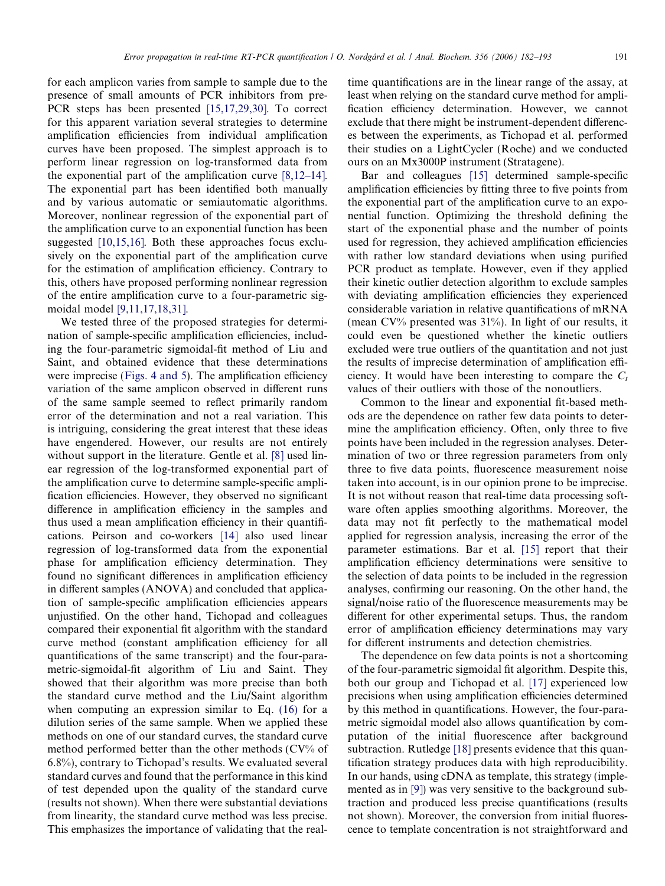for each amplicon varies from sample to sample due to the presence of small amounts of PCR inhibitors from pre-PCR steps has been presented [\[15,17,29,30\].](#page-10-0) To correct for this apparent variation several strategies to determine amplification efficiencies from individual amplification curves have been proposed. The simplest approach is to perform linear regression on log-transformed data from the exponential part of the amplification curve [\[8,12–14\].](#page-10-0) The exponential part has been identified both manually and by various automatic or semiautomatic algorithms. Moreover, nonlinear regression of the exponential part of the amplification curve to an exponential function has been suggested [\[10,15,16\].](#page-10-0) Both these approaches focus exclusively on the exponential part of the amplification curve for the estimation of amplification efficiency. Contrary to this, others have proposed performing nonlinear regression of the entire amplification curve to a four-parametric sigmoidal model [\[9,11,17,18,31\]](#page-10-0).

We tested three of the proposed strategies for determination of sample-specific amplification efficiencies, including the four-parametric sigmoidal-fit method of Liu and Saint, and obtained evidence that these determinations were imprecise [\(Figs. 4 and 5](#page-6-0)). The amplification efficiency variation of the same amplicon observed in different runs of the same sample seemed to reflect primarily random error of the determination and not a real variation. This is intriguing, considering the great interest that these ideas have engendered. However, our results are not entirely without support in the literature. Gentle et al. [\[8\]](#page-10-0) used linear regression of the log-transformed exponential part of the amplification curve to determine sample-specific amplification efficiencies. However, they observed no significant difference in amplification efficiency in the samples and thus used a mean amplification efficiency in their quantifications. Peirson and co-workers [\[14\]](#page-10-0) also used linear regression of log-transformed data from the exponential phase for amplification efficiency determination. They found no significant differences in amplification efficiency in different samples (ANOVA) and concluded that application of sample-specific amplification efficiencies appears unjustified. On the other hand, Tichopad and colleagues compared their exponential fit algorithm with the standard curve method (constant amplification efficiency for all quantifications of the same transcript) and the four-parametric-sigmoidal-fit algorithm of Liu and Saint. They showed that their algorithm was more precise than both the standard curve method and the Liu/Saint algorithm when computing an expression similar to Eq. [\(16\)](#page-6-0) for a dilution series of the same sample. When we applied these methods on one of our standard curves, the standard curve method performed better than the other methods (CV% of 6.8%), contrary to Tichopad's results. We evaluated several standard curves and found that the performance in this kind of test depended upon the quality of the standard curve (results not shown). When there were substantial deviations from linearity, the standard curve method was less precise. This emphasizes the importance of validating that the realtime quantifications are in the linear range of the assay, at least when relying on the standard curve method for amplification efficiency determination. However, we cannot exclude that there might be instrument-dependent differences between the experiments, as Tichopad et al. performed their studies on a LightCycler (Roche) and we conducted ours on an Mx3000P instrument (Stratagene).

Bar and colleagues [\[15\]](#page-10-0) determined sample-specific amplification efficiencies by fitting three to five points from the exponential part of the amplification curve to an exponential function. Optimizing the threshold defining the start of the exponential phase and the number of points used for regression, they achieved amplification efficiencies with rather low standard deviations when using purified PCR product as template. However, even if they applied their kinetic outlier detection algorithm to exclude samples with deviating amplification efficiencies they experienced considerable variation in relative quantifications of mRNA (mean CV% presented was 31%). In light of our results, it could even be questioned whether the kinetic outliers excluded were true outliers of the quantitation and not just the results of imprecise determination of amplification efficiency. It would have been interesting to compare the  $C_t$ values of their outliers with those of the nonoutliers.

Common to the linear and exponential fit-based methods are the dependence on rather few data points to determine the amplification efficiency. Often, only three to five points have been included in the regression analyses. Determination of two or three regression parameters from only three to five data points, fluorescence measurement noise taken into account, is in our opinion prone to be imprecise. It is not without reason that real-time data processing software often applies smoothing algorithms. Moreover, the data may not fit perfectly to the mathematical model applied for regression analysis, increasing the error of the parameter estimations. Bar et al. [\[15\]](#page-10-0) report that their amplification efficiency determinations were sensitive to the selection of data points to be included in the regression analyses, confirming our reasoning. On the other hand, the signal/noise ratio of the fluorescence measurements may be different for other experimental setups. Thus, the random error of amplification efficiency determinations may vary for different instruments and detection chemistries.

The dependence on few data points is not a shortcoming of the four-parametric sigmoidal fit algorithm. Despite this, both our group and Tichopad et al. [\[17\]](#page-10-0) experienced low precisions when using amplification efficiencies determined by this method in quantifications. However, the four-parametric sigmoidal model also allows quantification by computation of the initial fluorescence after background subtraction. Rutledge [\[18\]](#page-10-0) presents evidence that this quantification strategy produces data with high reproducibility. In our hands, using cDNA as template, this strategy (implemented as in [\[9\]\)](#page-10-0) was very sensitive to the background subtraction and produced less precise quantifications (results not shown). Moreover, the conversion from initial fluorescence to template concentration is not straightforward and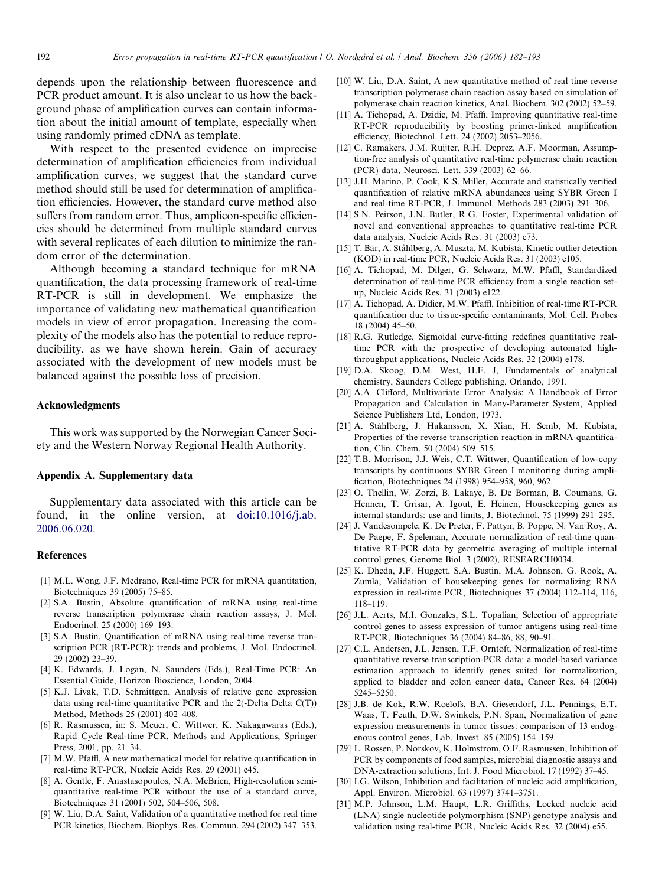<span id="page-10-0"></span>depends upon the relationship between fluorescence and PCR product amount. It is also unclear to us how the background phase of amplification curves can contain information about the initial amount of template, especially when using randomly primed cDNA as template.

With respect to the presented evidence on imprecise determination of amplification efficiencies from individual amplification curves, we suggest that the standard curve method should still be used for determination of amplification efficiencies. However, the standard curve method also suffers from random error. Thus, amplicon-specific efficiencies should be determined from multiple standard curves with several replicates of each dilution to minimize the random error of the determination.

Although becoming a standard technique for mRNA quantification, the data processing framework of real-time RT-PCR is still in development. We emphasize the importance of validating new mathematical quantification models in view of error propagation. Increasing the complexity of the models also has the potential to reduce reproducibility, as we have shown herein. Gain of accuracy associated with the development of new models must be balanced against the possible loss of precision.

#### Acknowledgments

This work was supported by the Norwegian Cancer Society and the Western Norway Regional Health Authority.

## Appendix A. Supplementary data

Supplementary data associated with this article can be found, in the online version, at [doi:10.1016/j.ab.](http://dx.doi.org/10.1016/j.ab.2006.06.020) [2006.06.020](http://dx.doi.org/10.1016/j.ab.2006.06.020).

#### References

- [1] M.L. Wong, J.F. Medrano, Real-time PCR for mRNA quantitation, Biotechniques 39 (2005) 75–85.
- [2] S.A. Bustin, Absolute quantification of mRNA using real-time reverse transcription polymerase chain reaction assays, J. Mol. Endocrinol. 25 (2000) 169–193.
- [3] S.A. Bustin, Quantification of mRNA using real-time reverse transcription PCR (RT-PCR): trends and problems, J. Mol. Endocrinol. 29 (2002) 23–39.
- [4] K. Edwards, J. Logan, N. Saunders (Eds.), Real-Time PCR: An Essential Guide, Horizon Bioscience, London, 2004.
- [5] K.J. Livak, T.D. Schmittgen, Analysis of relative gene expression data using real-time quantitative PCR and the 2(-Delta Delta C(T)) Method, Methods 25 (2001) 402–408.
- [6] R. Rasmussen, in: S. Meuer, C. Wittwer, K. Nakagawaras (Eds.), Rapid Cycle Real-time PCR, Methods and Applications, Springer Press, 2001, pp. 21–34.
- [7] M.W. Pfaffl, A new mathematical model for relative quantification in real-time RT-PCR, Nucleic Acids Res. 29 (2001) e45.
- [8] A. Gentle, F. Anastasopoulos, N.A. McBrien, High-resolution semiquantitative real-time PCR without the use of a standard curve, Biotechniques 31 (2001) 502, 504–506, 508.
- [9] W. Liu, D.A. Saint, Validation of a quantitative method for real time PCR kinetics, Biochem. Biophys. Res. Commun. 294 (2002) 347–353.
- [10] W. Liu, D.A. Saint, A new quantitative method of real time reverse transcription polymerase chain reaction assay based on simulation of polymerase chain reaction kinetics, Anal. Biochem. 302 (2002) 52–59.
- [11] A. Tichopad, A. Dzidic, M. Pfaffi, Improving quantitative real-time RT-PCR reproducibility by boosting primer-linked amplification efficiency, Biotechnol. Lett. 24 (2002) 2053–2056.
- [12] C. Ramakers, J.M. Ruijter, R.H. Deprez, A.F. Moorman, Assumption-free analysis of quantitative real-time polymerase chain reaction (PCR) data, Neurosci. Lett. 339 (2003) 62–66.
- [13] J.H. Marino, P. Cook, K.S. Miller, Accurate and statistically verified quantification of relative mRNA abundances using SYBR Green I and real-time RT-PCR, J. Immunol. Methods 283 (2003) 291–306.
- [14] S.N. Peirson, J.N. Butler, R.G. Foster, Experimental validation of novel and conventional approaches to quantitative real-time PCR data analysis, Nucleic Acids Res. 31 (2003) e73.
- [15] T. Bar, A. Ståhlberg, A. Muszta, M. Kubista, Kinetic outlier detection (KOD) in real-time PCR, Nucleic Acids Res. 31 (2003) e105.
- [16] A. Tichopad, M. Dilger, G. Schwarz, M.W. Pfaffl, Standardized determination of real-time PCR efficiency from a single reaction setup, Nucleic Acids Res. 31 (2003) e122.
- [17] A. Tichopad, A. Didier, M.W. Pfaffl, Inhibition of real-time RT-PCR quantification due to tissue-specific contaminants, Mol. Cell. Probes 18 (2004) 45–50.
- [18] R.G. Rutledge, Sigmoidal curve-fitting redefines quantitative realtime PCR with the prospective of developing automated highthroughput applications, Nucleic Acids Res. 32 (2004) e178.
- [19] D.A. Skoog, D.M. West, H.F. J, Fundamentals of analytical chemistry, Saunders College publishing, Orlando, 1991.
- [20] A.A. Clifford, Multivariate Error Analysis: A Handbook of Error Propagation and Calculation in Many-Parameter System, Applied Science Publishers Ltd, London, 1973.
- [21] A. Ståhlberg, J. Hakansson, X. Xian, H. Semb, M. Kubista, Properties of the reverse transcription reaction in mRNA quantification, Clin. Chem. 50 (2004) 509–515.
- [22] T.B. Morrison, J.J. Weis, C.T. Wittwer, Quantification of low-copy transcripts by continuous SYBR Green I monitoring during amplification, Biotechniques 24 (1998) 954–958, 960, 962.
- [23] O. Thellin, W. Zorzi, B. Lakaye, B. De Borman, B. Coumans, G. Hennen, T. Grisar, A. Igout, E. Heinen, Housekeeping genes as internal standards: use and limits, J. Biotechnol. 75 (1999) 291–295.
- [24] J. Vandesompele, K. De Preter, F. Pattyn, B. Poppe, N. Van Roy, A. De Paepe, F. Speleman, Accurate normalization of real-time quantitative RT-PCR data by geometric averaging of multiple internal control genes, Genome Biol. 3 (2002), RESEARCH0034.
- [25] K. Dheda, J.F. Huggett, S.A. Bustin, M.A. Johnson, G. Rook, A. Zumla, Validation of housekeeping genes for normalizing RNA expression in real-time PCR, Biotechniques 37 (2004) 112–114, 116, 118–119.
- [26] J.L. Aerts, M.I. Gonzales, S.L. Topalian, Selection of appropriate control genes to assess expression of tumor antigens using real-time RT-PCR, Biotechniques 36 (2004) 84–86, 88, 90–91.
- [27] C.L. Andersen, J.L. Jensen, T.F. Orntoft, Normalization of real-time quantitative reverse transcription-PCR data: a model-based variance estimation approach to identify genes suited for normalization, applied to bladder and colon cancer data, Cancer Res. 64 (2004) 5245–5250.
- [28] J.B. de Kok, R.W. Roelofs, B.A. Giesendorf, J.L. Pennings, E.T. Waas, T. Feuth, D.W. Swinkels, P.N. Span, Normalization of gene expression measurements in tumor tissues: comparison of 13 endogenous control genes, Lab. Invest. 85 (2005) 154–159.
- [29] L. Rossen, P. Norskov, K. Holmstrom, O.F. Rasmussen, Inhibition of PCR by components of food samples, microbial diagnostic assays and DNA-extraction solutions, Int. J. Food Microbiol. 17 (1992) 37–45.
- [30] I.G. Wilson, Inhibition and facilitation of nucleic acid amplification, Appl. Environ. Microbiol. 63 (1997) 3741–3751.
- [31] M.P. Johnson, L.M. Haupt, L.R. Griffiths, Locked nucleic acid (LNA) single nucleotide polymorphism (SNP) genotype analysis and validation using real-time PCR, Nucleic Acids Res. 32 (2004) e55.